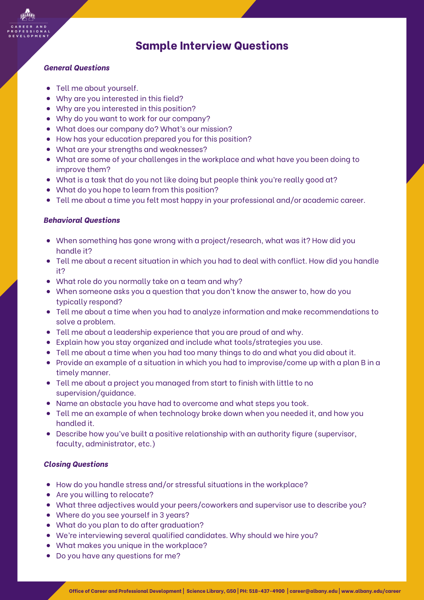# **Sample Interview Questions**

### *General Questions*

- Tell me about yourself.
- Why are you interested in this field?
- Why are you interested in this position?
- Why do you want to work for our company?
- What does our company do? What's our mission?
- How has your education prepared you for this position?
- What are your strengths and weaknesses?
- What are some of your challenges in the workplace and what have you been doing to improve them?
- What is a task that do you not like doing but people think you're really good at?
- What do you hope to learn from this position?
- Tell me about a time you felt most happy in your professional and/or academic career.

### *Behavioral Questions*

- When something has gone wrong with a project/research, what was it? How did you handle it?
- Tell me about a recent situation in which you had to deal with conflict. How did you handle it?
- What role do you normally take on a team and why?
- When someone asks you a question that you don't know the answer to, how do you typically respond?
- Tell me about a time when you had to analyze information and make recommendations to solve a problem.
- Tell me about a leadership experience that you are proud of and why.
- Explain how you stay organized and include what tools/strategies you use.
- Tell me about a time when you had too many things to do and what you did about it.
- Provide an example of a situation in which you had to improvise/come up with a plan B in a timely manner.
- Tell me about a project you managed from start to finish with little to no supervision/guidance.
- Name an obstacle you have had to overcome and what steps you took.
- Tell me an example of when technology broke down when you needed it, and how you handled it.
- Describe how you've built a positive relationship with an authority figure (supervisor, faculty, administrator, etc.)

### *Closing Questions*

- How do you handle stress and/or stressful situations in the workplace?
- Are you willing to relocate?
- What three adjectives would your peers/coworkers and supervisor use to describe you?
- Where do you see yourself in 3 years?
- What do you plan to do after graduation?
- We're interviewing several qualified candidates. Why should we hire you?
- What makes you unique in the workplace?
- Do you have any questions for me?